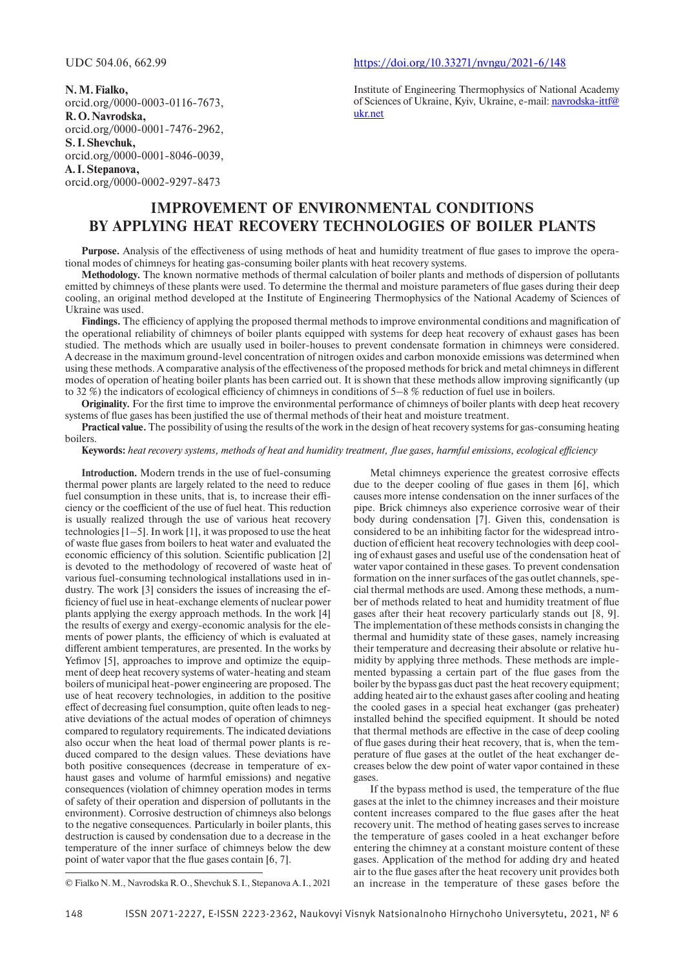**N. M. Fialko,** orcid.org/0000-0003-0116-7673, **R. O. Navrodska,** orcid.org/0000-0001-7476-2962, **S. I. Shevchuk,** orcid.org/0000-0001-8046-0039, **A. I. Stepanova,** orcid.org/0000-0002-9297-8473

#### UDC 504.06, 662.99 https://doi.org/10.33271/nvngu/2021-6/148

Institute of Engineering Thermophysics of National Academy of Sciences of Ukraine, Kyiv, Ukraine, e-mail: navrodska-ittf@ ukr.net

# **IMPROVEMENT OF ENVIRONMENTAL CONDITIONS BY APPLYING HEAT RECOVERY TECHNOLOGIES OF BOILER PLANTS**

**Purpose.** Analysis of the effectiveness of using methods of heat and humidity treatment of flue gases to improve the operational modes of chimneys for heating gas-consuming boiler plants with heat recovery systems.

**Methodology.** The known normative methods of thermal calculation of boiler plants and methods of dispersion of pollutants emitted by chimneys of these plants were used. To determine the thermal and moisture parameters of flue gases during their deep cooling, an original method developed at the Institute of Engineering Thermophysics of the National Academy of Sciences of Ukraine was used.

**Findings.** The efficiency of applying the proposed thermal methods to improve environmental conditions and magnification of the operational reliability of chimneys of boiler plants equipped with systems for deep heat recovery of exhaust gases has been studied. The methods which are usually used in boiler-houses to prevent condensate formation in chimneys were considered. A decrease in the maximum ground-level concentration of nitrogen oxides and carbon monoxide emissions was determined when using these methods. A comparative analysis of the effectiveness of the proposed methods for brick and metal chimneys in different modes of operation of heating boiler plants has been carried out. It is shown that these methods allow improving significantly (up to 32 %) the indicators of ecological efficiency of chimneys in conditions of  $5-8$  % reduction of fuel use in boilers.

**Originality.** For the first time to improve the environmental performance of chimneys of boiler plants with deep heat recovery systems of flue gases has been justified the use of thermal methods of their heat and moisture treatment.

**Practical value.** The possibility of using the results of the work in the design of heat recovery systems for gas-consuming heating boilers.

Keywords: heat recovery systems, methods of heat and humidity treatment, flue gases, harmful emissions, ecological efficiency

**Introduction.** Modern trends in the use of fuel-consuming thermal power plants are largely related to the need to reduce fuel consumption in these units, that is, to increase their efficiency or the coefficient of the use of fuel heat. This reduction is usually realized through the use of various heat recovery technologies [1–5]. In work [1], it was proposed to use the heat of waste flue gases from boilers to heat water and evaluated the economic efficiency of this solution. Scientific publication [2] is devoted to the methodology of recovered of waste heat of various fuel-consuming technological installations used in industry. The work [3] considers the issues of increasing the efficiency of fuel use in heat-exchange elements of nuclear power plants applying the exergy approach methods. In the work [4] the results of exergy and exergy-economic analysis for the elements of power plants, the efficiency of which is evaluated at different ambient temperatures, are presented. In the works by Yefimov [5], approaches to improve and optimize the equipment of deep heat recovery systems of water-heating and steam boilers of municipal heat-power engineering are proposed. The use of heat recovery technologies, in addition to the positive effect of decreasing fuel consumption, quite often leads to negative deviations of the actual modes of operation of chimneys compared to regulatory requirements. The indicated deviations also occur when the heat load of thermal power plants is reduced compared to the design values. These deviations have both positive consequences (decrease in temperature of exhaust gases and volume of harmful emissions) and negative consequences (violation of chimney operation modes in terms of safety of their operation and dispersion of pollutants in the environment). Corrosive destruction of chimneys also belongs to the negative consequences. Particularly in boiler plants, this destruction is caused by condensation due to a decrease in the temperature of the inner surface of chimneys below the dew point of water vapor that the flue gases contain  $[6, 7]$ .

Metal chimneys experience the greatest corrosive effects due to the deeper cooling of flue gases in them  $[6]$ , which causes more intense condensation on the inner surfaces of the pipe. Brick chimneys also experience corrosive wear of their body during condensation [7]. Given this, condensation is considered to be an inhibiting factor for the widespread introduction of efficient heat recovery technologies with deep cooling of exhaust gases and useful use of the condensation heat of water vapor contained in these gases. To prevent condensation formation on the inner surfaces of the gas outlet channels, special thermal methods are used. Among these methods, a number of methods related to heat and humidity treatment of flue gases after their heat recovery particularly stands out [8, 9]. The implementation of these methods consists in changing the thermal and humidity state of these gases, namely increasing their temperature and decreasing their absolute or relative humidity by applying three methods. These methods are implemented bypassing a certain part of the flue gases from the boiler by the bypass gas duct past the heat recovery equipment; adding heated air to the exhaust gases after cooling and heating the cooled gases in a special heat exchanger (gas preheater) installed behind the specified equipment. It should be noted that thermal methods are effective in the case of deep cooling of flue gases during their heat recovery, that is, when the temperature of flue gases at the outlet of the heat exchanger decreases below the dew point of water vapor contained in these gases

If the bypass method is used, the temperature of the flue gases at the inlet to the chimney increases and their moisture content increases compared to the flue gases after the heat recovery unit. The method of heating gases serves to increase the temperature of gases cooled in a heat exchanger before entering the chimney at a constant moisture content of these gases. Application of the method for adding dry and heated air to the flue gases after the heat recovery unit provides both an increase in the temperature of these gases before the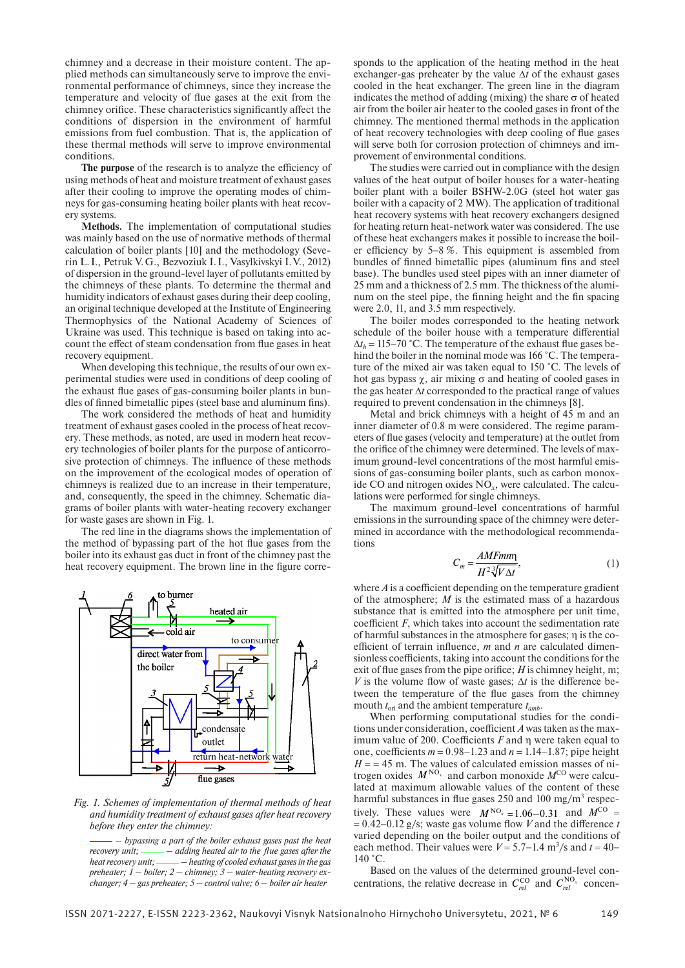chimney and a decrease in their moisture content. The applied methods can simultaneously serve to improve the environmental performance of chimneys, since they increase the temperature and velocity of flue gases at the exit from the chimney orifice. These characteristics significantly affect the conditions of dispersion in the environment of harmful emissions from fuel combustion. That is, the application of these thermal methods will serve to improve environmental conditions.

The purpose of the research is to analyze the efficiency of using methods of heat and moisture treatment of exhaust gases after their cooling to improve the operating modes of chimneys for gas-consuming heating boiler plants with heat recovery systems.

**Methods.** The implementation of computational studies was mainly based on the use of normative methods of thermal calculation of boiler plants [10] and the methodology (Severin L. I., Petruk V. G., Bezvoziuk I. I., Vasylkivskyi I. V., 2012) of dispersion in the ground-level layer of pollutants emitted by the chimneys of these plants. To determine the thermal and humidity indicators of exhaust gases during their deep cooling, an original technique developed at the Institute of Engineering Thermophysics of the National Academy of Sciences of Ukraine was used. This technique is based on taking into account the effect of steam condensation from flue gases in heat recovery equipment.

When developing this technique, the results of our own experimental studies were used in conditions of deep cooling of the exhaust flue gases of gas-consuming boiler plants in bundles of finned bimetallic pipes (steel base and aluminum fins).

The work considered the methods of heat and humidity treatment of exhaust gases cooled in the process of heat recovery. These methods, as noted, are used in modern heat recovery technologies of boiler plants for the purpose of anticorrosive protection of chimneys. The influence of these methods on the improvement of the ecological modes of operation of chimneys is realized due to an increase in their temperature, and, consequently, the speed in the chimney. Schematic diagrams of boiler plants with water-heating recovery exchanger for waste gases are shown in Fig. 1.

The red line in the diagrams shows the implementation of the method of bypassing part of the hot flue gases from the boiler into its exhaust gas duct in front of the chimney past the heat recovery equipment. The brown line in the figure corre-



*Fig. 1. Schemes of implementation of thermal methods of heat and humidity treatment of exhaust gases after heat recovery before they enter the chimney:*

 *– bypassing a part of the boiler exhaust gases past the heat recovery unit;* —— *- adding heated air to the flue gases after the heat recovery unit; – heating of cooled exhaust gases in the gas preheater; 1* – *boiler; 2* – *chimney; 3* – *water-heating recovery exchanger; 4* – *gas preheater; 5* – *control valve; 6* – *boiler air heater*

sponds to the application of the heating method in the heat exchanger-gas preheater by the value  $\Delta t$  of the exhaust gases cooled in the heat exchanger. The green line in the diagram indicates the method of adding (mixing) the share  $\sigma$  of heated air from the boiler air heater to the cooled gases in front of the chimney. The mentioned thermal methods in the application of heat recovery technologies with deep cooling of flue gases will serve both for corrosion protection of chimneys and improvement of environmental conditions.

The studies were carried out in compliance with the design values of the heat output of boiler houses for a water-heating boiler plant with a boiler BSHW-2.0G (steel hot water gas boiler with a capacity of 2 MW). The application of traditional heat recovery systems with heat recovery exchangers designed for heating return heat-network water was considered. The use of these heat exchangers makes it possible to increase the boiler efficiency by  $5-8\%$ . This equipment is assembled from bundles of finned bimetallic pipes (aluminum fins and steel base). The bundles used steel pipes with an inner diameter of 25 mm and a thickness of 2.5 mm. The thickness of the aluminum on the steel pipe, the finning height and the fin spacing were 2.0, 11, and 3.5 mm respectively.

The boiler modes corresponded to the heating network schedule of the boiler house with a temperature differential  $\Delta t_h = 115-70$  °C. The temperature of the exhaust flue gases behind the boiler in the nominal mode was 166 °C. The temperature of the mixed air was taken equal to 150 °С. The levels of hot gas bypass  $\chi$ , air mixing  $\sigma$  and heating of cooled gases in the gas heater  $\Delta t$  corresponded to the practical range of values required to prevent condensation in the chimneys [8].

Metal and brick chimneys with a height of 45 m and an inner diameter of 0.8 m were considered. The regime parameters of flue gases (velocity and temperature) at the outlet from the orifice of the chimney were determined. The levels of maximum ground-level concentrations of the most harmful emissions of gas-consuming boiler plants, such as carbon monoxide CO and nitrogen oxides NO*x*, were calculated. The calculations were performed for single chimneys.

The maximum ground-level concentrations of harmful emissions in the surrounding space of the chimney were determined in accordance with the methodological recommendations

$$
C_m = \frac{AMFmm}{H^2 \sqrt[3]{V \Delta t}},\tag{1}
$$

where  $\vec{A}$  is a coefficient depending on the temperature gradient of the atmosphere; *M* is the estimated mass of a hazardous substance that is emitted into the atmosphere per unit time, coefficient  $F$ , which takes into account the sedimentation rate of harmful substances in the atmosphere for gases; η is the coefficient of terrain influence, *m* and *n* are calculated dimensionless coefficients, taking into account the conditions for the exit of flue gases from the pipe orifice;  $H$  is chimney height, m; *V* is the volume flow of waste gases;  $\Delta t$  is the difference between the temperature of the flue gases from the chimney mouth  $t_{\text{ori}}$  and the ambient temperature  $t_{\text{amb}}$ .

When performing computational studies for the conditions under consideration, coefficient *A* was taken as the maximum value of 200. Coefficients  $F$  and  $\eta$  were taken equal to one, coefficients  $m = 0.98 - 1.23$  and  $n = 1.14 - 1.87$ ; pipe height  $H = 45$  m. The values of calculated emission masses of nitrogen oxides  $M^{NO_x}$  and carbon monoxide  $M^{CO}$  were calculated at maximum allowable values of the content of these harmful substances in flue gases  $250$  and  $100$  mg/m<sup>3</sup> respectively. These values were  $M^{NO_x} = 1.06-0.31$  and  $M^{CO} =$  $= 0.42 - 0.12$  g/s; waste gas volume flow *V* and the difference *t* varied depending on the boiler output and the conditions of each method. Their values were  $V = 5.7 - 1.4$  m<sup>3</sup>/s and  $t = 40 -$ 140 °С.

Based on the values of the determined ground-level concentrations, the relative decrease in  $C_{rel}^{\text{CO}}$  and  $C_{rel}^{\text{NO}_x}$  concen-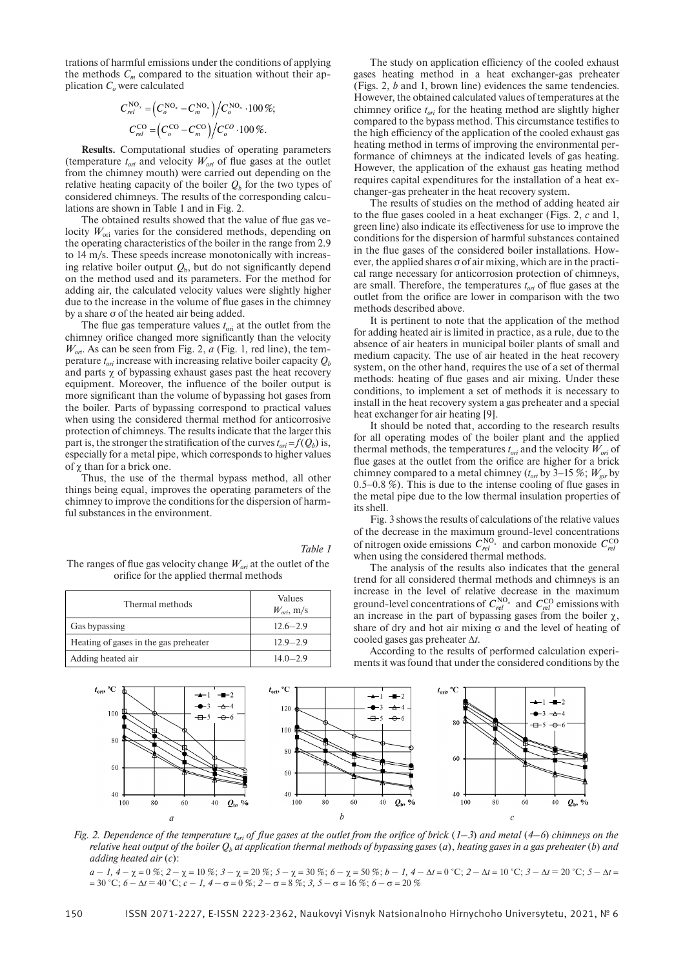trations of harmful emissions under the conditions of applying the methods  $C_m$  compared to the situation without their application  $C<sub>o</sub>$  were calculated

$$
C_{rel}^{\text{NO}_x} = \left(C_o^{\text{NO}_x} - C_m^{\text{NO}_x}\right) / C_o^{\text{NO}_x} \cdot 100\,\%;
$$
  

$$
C_{rel}^{\text{CO}} = \left(C_o^{\text{CO}} - C_m^{\text{CO}}\right) / C_o^{\text{CO}} \cdot 100\,\%.
$$

**Results.** Computational studies of operating parameters (temperature  $t_{ori}$  and velocity  $W_{ori}$  of flue gases at the outlet from the chimney mouth) were carried out depending on the relative heating capacity of the boiler  $Q<sub>b</sub>$  for the two types of considered chimneys. The results of the corresponding calculations are shown in Table 1 and in Fig. 2.

The obtained results showed that the value of flue gas velocity  $W_{\text{ori}}$  varies for the considered methods, depending on the operating characteristics of the boiler in the range from 2.9 to 14 m/s. These speeds increase monotonically with increasing relative boiler output  $Q<sub>b</sub>$ , but do not significantly depend on the method used and its parameters. For the method for adding air, the calculated velocity values were slightly higher due to the increase in the volume of flue gases in the chimney by a share σ of the heated air being added.

The flue gas temperature values  $t_{\text{ori}}$  at the outlet from the chimney orifice changed more significantly than the velocity  $W_{\text{ori}}$ . As can be seen from Fig. 2,  $a$  (Fig. 1, red line), the temperature  $t_{ori}$  increase with increasing relative boiler capacity  $Q<sub>b</sub>$ and parts  $\chi$  of bypassing exhaust gases past the heat recovery equipment. Moreover, the influence of the boiler output is more significant than the volume of bypassing hot gases from the boiler. Parts of bypassing correspond to practical values when using the considered thermal method for anticorrosive protection of chimneys. The results indicate that the larger this part is, the stronger the stratification of the curves  $t_{ori} = f(Q_b)$  is, especially for a metal pipe, which corresponds to higher values of  $\chi$  than for a brick one.

Thus, the use of the thermal bypass method, all other things being equal, improves the operating parameters of the chimney to improve the conditions for the dispersion of harmful substances in the environment.

The ranges of flue gas velocity change  $W_{ori}$  at the outlet of the orifice for the applied thermal methods

| Thermal methods                       | Values<br>$W_{ori}$ , m/s |
|---------------------------------------|---------------------------|
| Gas bypassing                         | $12.6 - 2.9$              |
| Heating of gases in the gas preheater | $12.9 - 2.9$              |
| Adding heated air                     | $14.0 - 2.9$              |

The study on application efficiency of the cooled exhaust gases heating method in a heat exchanger-gas preheater (Figs. 2, *b* and 1, brown line) evidences the same tendencies. However, the obtained calculated values of temperatures at the chimney orifice  $t_{ori}$  for the heating method are slightly higher compared to the bypass method. This circumstance testifies to the high efficiency of the application of the cooled exhaust gas heating method in terms of improving the environmental performance of chimneys at the indicated levels of gas heating. However, the application of the exhaust gas heating method requires capital expenditures for the installation of a heat exchanger-gas preheater in the heat recovery system.

The results of studies on the method of adding heated air to the flue gases cooled in a heat exchanger (Figs. 2, c and 1, green line) also indicate its effectiveness for use to improve the conditions for the dispersion of harmful substances contained in the flue gases of the considered boiler installations. However, the applied shares σ of air mixing, which are in the practical range necessary for anticorrosion protection of chimneys, are small. Therefore, the temperatures  $t_{ori}$  of flue gases at the outlet from the orifice are lower in comparison with the two methods described above.

It is pertinent to note that the application of the method for adding heated air is limited in practice, as a rule, due to the absence of air heaters in municipal boiler plants of small and medium capacity. The use of air heated in the heat recovery system, on the other hand, requires the use of a set of thermal methods: heating of flue gases and air mixing. Under these conditions, to implement a set of methods it is necessary to install in the heat recovery system a gas preheater and a special heat exchanger for air heating [9].

It should be noted that, according to the research results for all operating modes of the boiler plant and the applied thermal methods, the temperatures  $t_{ori}$  and the velocity  $W_{ori}$  of flue gases at the outlet from the orifice are higher for a brick chimney compared to a metal chimney ( $t_{ori}$  by 3–15 %;  $W_{cir}$  by  $0.5-0.8\%$ ). This is due to the intense cooling of flue gases in the metal pipe due to the low thermal insulation properties of its shell.

Fig. 3 shows the results of calculations of the relative values of the decrease in the maximum ground-level concentrations of nitrogen oxide emissions  $C_{rel}^{NO_x}$  and carbon monoxide  $C_{rel}^{CO}$ when using the considered thermal methods.

The analysis of the results also indicates that the general trend for all considered thermal methods and chimneys is an increase in the level of relative decrease in the maximum ground-level concentrations of  $C_{rel}^{NO_x}$  and  $C_{rel}^{CO}$  emissions with an increase in the part of bypassing gases from the boiler  $\chi$ , share of dry and hot air mixing  $\sigma$  and the level of heating of cooled gases gas preheater  $\Delta t$ .

According to the results of performed calculation experiments it was found that under the considered conditions by the



*Fig. 2. Dependence of the temperature*  $t_{ori}$  *of flue gases at the outlet from the orifice of brick*  $(1-3)$  *and metal*  $(4-6)$  *chimneys on the relative heat output of the boiler*  $Q_b$  at application thermal methods of bypassing gases (a), heating gases in a gas preheater (b) and *adding heated air* (*c*):

 $a - 1$ ,  $4 - \chi = 0$  %;  $2 - \chi = 10$  %;  $3 - \chi = 20$  %;  $5 - \chi = 30$  %;  $6 - \chi = 50$  %;  $b - 1$ ,  $4 - \Delta t = 0$  °C;  $2 - \Delta t = 10$  °C;  $3 - \Delta t = 20$  °C;  $5 - \Delta t = 10$  $=$  30 °С; *6* − ∆*t* = 40 °С; *c* − *1*, 4 − σ = 0 %; 2 − σ = 8 %; 3, 5 − σ = 16 %; 6 − σ = 20 %

*Table 1*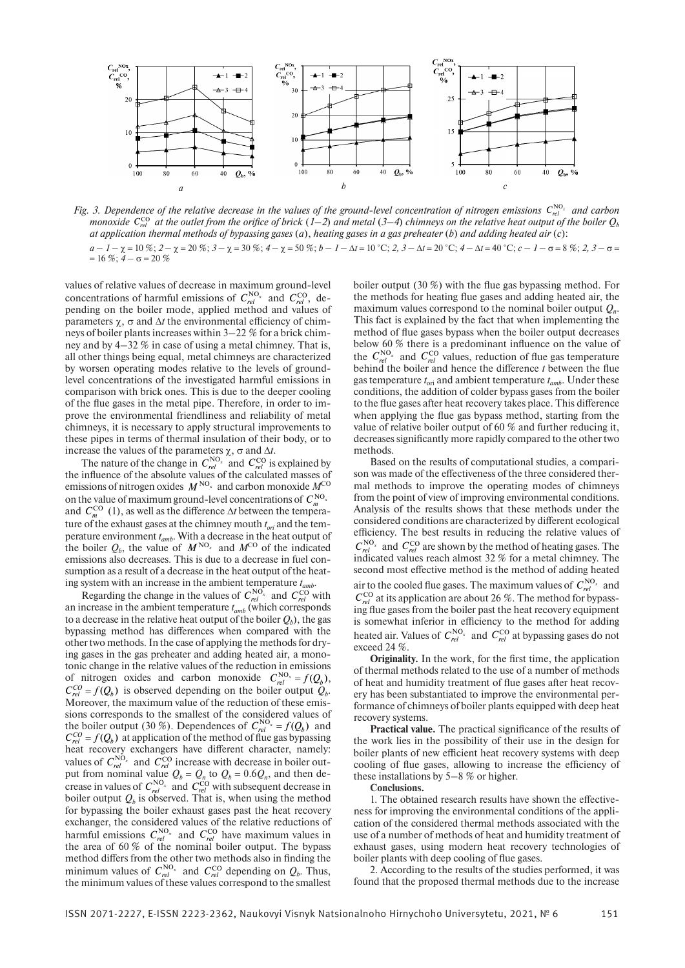

*Fig. 3. Dependence of the relative decrease in the values of the ground-level concentration of nitrogen emissions*  $C_{rel}^{NO_x}$  *and carbon monoxide*  $C_{\text{rel}}^{\text{CO}}$  at the outlet from the orifice of brick  $(1-2)$  and metal  $(3-4)$  chimneys on the relative heat output of the boiler  $Q_b$ *at application thermal methods of bypassing gases* (*a*), *heating gases in a gas preheater* (*b*) *and adding heated air* (*c*):  $a - 1 - \chi = 10\%$ ;  $2 - \chi = 20\%$ ;  $3 - \chi = 30\%$ ;  $4 - \chi = 50\%$ ;  $b - 1 - \Delta t = 10\degree$ C;  $2$ ,  $3 - \Delta t = 20\degree$ C;  $4 - \Delta t = 40\degree$ C;  $c - 1 - \sigma = 8\%$ ;  $2$ ,  $3 - \sigma =$  $= 16\%$ ;  $4 - \sigma = 20\%$ 

values of relative values of decrease in maximum ground-level concentrations of harmful emissions of  $C_{rel}^{NO_x}$  and  $C_{rel}^{CO}$ , depending on the boiler mode, applied method and values of parameters  $\chi$ ,  $\sigma$  and  $\Delta t$  the environmental efficiency of chimneys of boiler plants increases within 3*–*22 % for a brick chimney and by 4*–*32 % in case of using a metal chimney. That is, all other things being equal, metal chimneys are characterized by worsen operating modes relative to the levels of groundlevel concentrations of the investigated harmful emissions in comparison with brick ones. This is due to the deeper cooling of the flue gases in the metal pipe. Therefore, in order to improve the environmental friendliness and reliability of metal chimneys, it is necessary to apply structural improvements to these pipes in terms of thermal insulation of their body, or to increase the values of the parameters  $\chi$ ,  $\sigma$  and  $\Delta t$ .

The nature of the change in  $C_{rel}^{NO_x}$  and  $C_{rel}^{CO}$  is explained by the influence of the absolute values of the calculated masses of emissions of nitrogen oxides *M* NO*x* and carbon monoxide *M*CO on the value of maximum ground-level concentrations of  $C_{m}^{\text{NO}_x}$ and  $C_m^{\text{CO}}$  (1), as well as the difference  $\Delta t$  between the temperature of the exhaust gases at the chimney mouth  $t_{ori}$  and the temperature environment *tamb*. With a decrease in the heat output of the boiler  $Q_b$ , the value of  $M^{NO_x}$  and  $M^{CO}$  of the indicated emissions also decreases. This is due to a decrease in fuel consumption as a result of a decrease in the heat output of the heating system with an increase in the ambient temperature *tamb*.

Regarding the change in the values of  $C_{rel}^{NO_x}$  and  $C_{rel}^{CO}$  with an increase in the ambient temperature  $t_{amb}$  (which corresponds to a decrease in the relative heat output of the boiler  $Q<sub>b</sub>$ ), the gas bypassing method has differences when compared with the other two methods. In the case of applying the methods for drying gases in the gas preheater and adding heated air, a monotonic change in the relative values of the reduction in emissions of nitrogen oxides and carbon monoxide  $C_{rel}^{\text{NO}_x} = f(Q_b)$ ,  $C_{rel}^{CO} = f(Q_b)$  is observed depending on the boiler output  $Q_b$ . Moreover, the maximum value of the reduction of these emissions corresponds to the smallest of the considered values of the boiler output (30 %). Dependences of  $C_{rel}^{NO_x} = f(Q_b)$  and  $C_{rel}^{CO} = f(Q_b)$  at application of the method of flue gas bypassing heat recovery exchangers have different character, namely: values of  $C_{rel}^{NO_x}$  and  $C_{rel}^{CO}$  increase with decrease in boiler output from nominal value  $Q_b = Q_n$  to  $Q_b = 0.6Q_n$ , and then decrease in values of  $C_{rel}^{\text{NO}_x}$  and  $C_{rel}^{\text{CO}}$  with subsequent decrease in boiler output  $Q_b$  is observed. That is, when using the method for bypassing the boiler exhaust gases past the heat recovery exchanger, the considered values of the relative reductions of harmful emissions  $C_{rel}^{NO_x}$  and  $C_{rel}^{CO}$  have maximum values in the area of 60 % of the nominal boiler output. The bypass method differs from the other two methods also in finding the minimum values of  $C_{rel}^{NO_x}$  and  $C_{rel}^{CO}$  depending on  $Q_b$ . Thus, the minimum values of these values correspond to the smallest boiler output (30 %) with the flue gas bypassing method. For the methods for heating flue gases and adding heated air, the maximum values correspond to the nominal boiler output  $Q_n$ . This fact is explained by the fact that when implementing the method of flue gases bypass when the boiler output decreases below  $60\%$  there is a predominant influence on the value of the  $C_{rel}^{\text{NO}_x}$  and  $C_{rel}^{\text{CO}}$  values, reduction of flue gas temperature behind the boiler and hence the difference *t* between the flue gas temperature  $t_{\text{ori}}$  and ambient temperature  $t_{\text{amb}}$ . Under these conditions, the addition of colder bypass gases from the boiler to the flue gases after heat recovery takes place. This difference when applying the flue gas bypass method, starting from the value of relative boiler output of 60 % and further reducing it, decreases significantly more rapidly compared to the other two methods.

Based on the results of computational studies, a comparison was made of the effectiveness of the three considered thermal methods to improve the operating modes of chimneys from the point of view of improving environmental conditions. Analysis of the results shows that these methods under the considered conditions are characterized by different ecological efficiency. The best results in reducing the relative values of  $C_{rel}^{\text{NO}_x}$  and  $C_{rel}^{\text{CO}}$  are shown by the method of heating gases. The indicated values reach almost 32 % for a metal chimney. The second most effective method is the method of adding heated air to the cooled flue gases. The maximum values of  $C_{rel}^{NO_x}$  and  $C_{rel}^{CO}$  at its application are about 26 %. The method for bypassing flue gases from the boiler past the heat recovery equipment is somewhat inferior in efficiency to the method for adding heated air. Values of  $C_{rel}^{NO_x}$  and  $C_{rel}^{CO}$  at bypassing gases do not exceed 24 %.

**Originality.** In the work, for the first time, the application of thermal methods related to the use of a number of methods of heat and humidity treatment of flue gases after heat recovery has been substantiated to improve the environmental performance of chimneys of boiler plants equipped with deep heat recovery systems.

**Practical value.** The practical significance of the results of the work lies in the possibility of their use in the design for boiler plants of new efficient heat recovery systems with deep cooling of flue gases, allowing to increase the efficiency of these installations by 5*–*8 % or higher.

**Conclusions.**

1. The obtained research results have shown the effectiveness for improving the environmental conditions of the application of the considered thermal methods associated with the use of a number of methods of heat and humidity treatment of exhaust gases, using modern heat recovery technologies of boiler plants with deep cooling of flue gases.

2. According to the results of the studies performed, it was found that the proposed thermal methods due to the increase